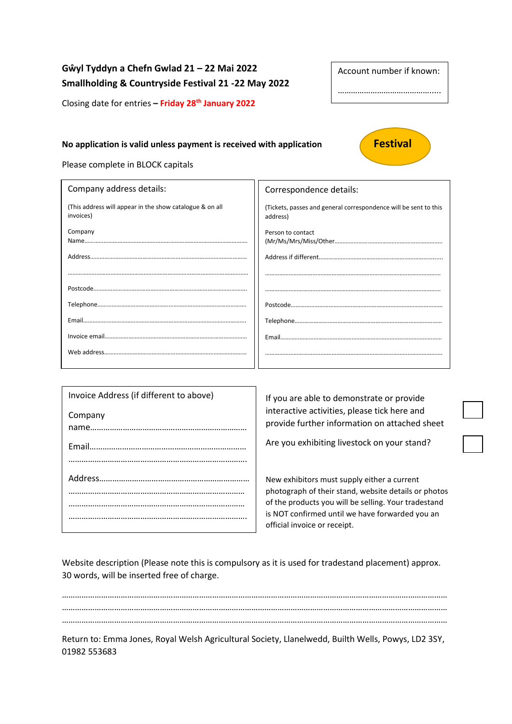# **Gŵyl Tyddyn a Chefn Gwlad 21 – 22 Mai 2022 Smallholding & Countryside Festival 21 -22 May 2022**

Closing date for entries **– Friday 28th January 2022**

## **No application is valid unless payment is received with application <b>Festival**



Account number if known:

………………………………………………

Please complete in BLOCK capitals

| Company address details:                                              | Correspondence details:                                                      |
|-----------------------------------------------------------------------|------------------------------------------------------------------------------|
| (This address will appear in the show catalogue & on all<br>invoices) | (Tickets, passes and general correspondence will be sent to this<br>address) |
| Company                                                               | Person to contact                                                            |
|                                                                       |                                                                              |
|                                                                       |                                                                              |
|                                                                       |                                                                              |
|                                                                       |                                                                              |
|                                                                       |                                                                              |
|                                                                       |                                                                              |
|                                                                       |                                                                              |

| Invoice Address (if different to above)<br>Company | If you are able to demonstrate or provide<br>interactive activities, please tick here and<br>provide further information on attached sheet                                                                                                     |
|----------------------------------------------------|------------------------------------------------------------------------------------------------------------------------------------------------------------------------------------------------------------------------------------------------|
|                                                    | Are you exhibiting livestock on your stand?                                                                                                                                                                                                    |
|                                                    | New exhibitors must supply either a current<br>photograph of their stand, website details or photos<br>of the products you will be selling. Your tradestand<br>is NOT confirmed until we have forwarded you an<br>official invoice or receipt. |

Website description (Please note this is compulsory as it is used for tradestand placement) approx. 30 words, will be inserted free of charge.

…………………………………………………………………………………………………………………………………………………………… …………………………………………………………………………………………………………………………………………………………… ……………………………………………………………………………………………………………………………………………………………

Return to: Emma Jones, Royal Welsh Agricultural Society, Llanelwedd, Builth Wells, Powys, LD2 3SY, 01982 553683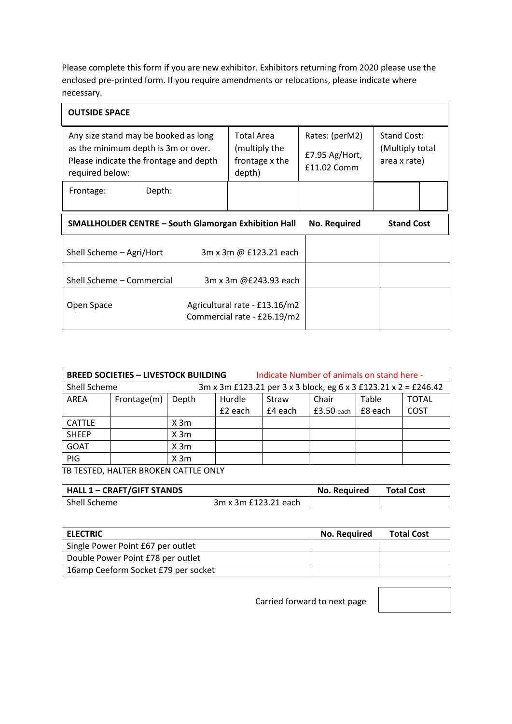Please complete this form if you are new exhibitor. Exhibitors returning from 2020 please use the enclosed pre-printed form. If you require amendments or relocations, please indicate where necessary.

| <b>OUTSIDE SPACE</b>                                                                                                                     |                                                                |                                                 |                                                       |  |
|------------------------------------------------------------------------------------------------------------------------------------------|----------------------------------------------------------------|-------------------------------------------------|-------------------------------------------------------|--|
| Any size stand may be booked as long<br>as the minimum depth is 3m or over.<br>Please indicate the frontage and depth<br>required below: | <b>Total Area</b><br>(multiply the<br>frontage x the<br>depth) | Rates: (perM2)<br>£7.95 Ag/Hort,<br>£11.02 Comm | <b>Stand Cost:</b><br>(Multiply total<br>area x rate) |  |
| Depth:<br>Frontage:                                                                                                                      |                                                                |                                                 |                                                       |  |
| <b>SMALLHOLDER CENTRE - South Glamorgan Exhibition Hall</b>                                                                              |                                                                | <b>No. Required</b>                             | <b>Stand Cost</b>                                     |  |
| Shell Scheme - Agri/Hort                                                                                                                 | 3m x 3m @ £123.21 each                                         |                                                 |                                                       |  |
| Shell Scheme - Commercial                                                                                                                | 3m x 3m @£243.93 each                                          |                                                 |                                                       |  |
| Open Space                                                                                                                               | Agricultural rate - £13.16/m2<br>Commercial rate - £26.19/m2   |                                                 |                                                       |  |

| <b>BREED SOCIETIES - LIVESTOCK BUILDING</b> |             |                                                                 | Indicate Number of animals on stand here - |         |              |         |              |
|---------------------------------------------|-------------|-----------------------------------------------------------------|--------------------------------------------|---------|--------------|---------|--------------|
| Shell Scheme                                |             | 3m x 3m £123.21 per 3 x 3 block, eg 6 x 3 £123.21 x 2 = £246.42 |                                            |         |              |         |              |
| AREA                                        | Frontage(m) | Depth                                                           | Hurdle                                     | Straw   | Chair        | Table   | <b>TOTAL</b> |
|                                             |             |                                                                 | £2 each                                    | £4 each | $£3.50$ each | £8 each | COST         |
| <b>CATTLE</b>                               |             | X 3m                                                            |                                            |         |              |         |              |
| <b>SHEEP</b>                                |             | X <sub>3m</sub>                                                 |                                            |         |              |         |              |
| <b>GOAT</b>                                 |             | X <sub>3m</sub>                                                 |                                            |         |              |         |              |
| PIG                                         |             | X <sub>3m</sub>                                                 |                                            |         |              |         |              |

TB TESTED, HALTER BROKEN CATTLE ONLY

| <b>HALL 1 - CRAFT/GIFT STANDS</b> |                      | No. Required | <b>Total Cost</b> |
|-----------------------------------|----------------------|--------------|-------------------|
| Shell Scheme                      | 3m x 3m £123.21 each |              |                   |

| <b>ELECTRIC</b>                     | No. Required | <b>Total Cost</b> |
|-------------------------------------|--------------|-------------------|
| Single Power Point £67 per outlet   |              |                   |
| Double Power Point £78 per outlet   |              |                   |
| 16amp Ceeform Socket £79 per socket |              |                   |

Carried forward to next page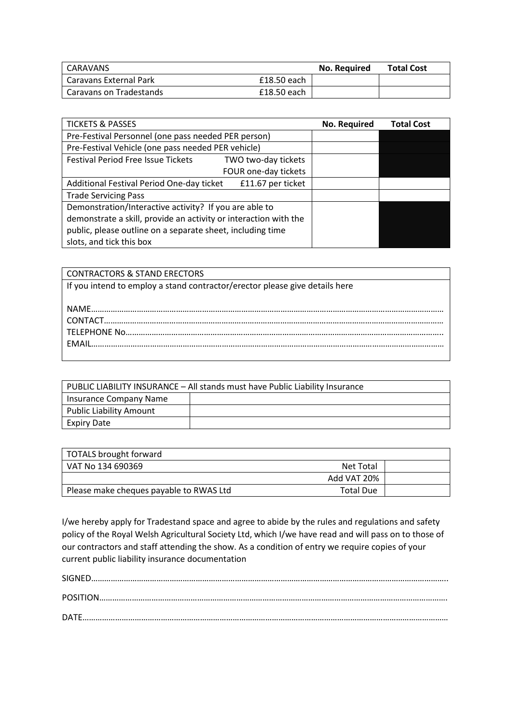| CARAVANS                      |             | No. Required | <b>Total Cost</b> |
|-------------------------------|-------------|--------------|-------------------|
| <b>Caravans External Park</b> | £18.50 each |              |                   |
| Caravans on Tradestands       | £18.50 each |              |                   |

| <b>TICKETS &amp; PASSES</b>                                      | No. Required | <b>Total Cost</b> |
|------------------------------------------------------------------|--------------|-------------------|
| Pre-Festival Personnel (one pass needed PER person)              |              |                   |
| Pre-Festival Vehicle (one pass needed PER vehicle)               |              |                   |
| <b>Festival Period Free Issue Tickets</b><br>TWO two-day tickets |              |                   |
| FOUR one-day tickets                                             |              |                   |
| Additional Festival Period One-day ticket<br>£11.67 per ticket   |              |                   |
| <b>Trade Servicing Pass</b>                                      |              |                   |
| Demonstration/Interactive activity? If you are able to           |              |                   |
| demonstrate a skill, provide an activity or interaction with the |              |                   |
| public, please outline on a separate sheet, including time       |              |                   |
| slots, and tick this box                                         |              |                   |

| <b>CONTRACTORS &amp; STAND ERECTORS</b>                                     |
|-----------------------------------------------------------------------------|
| If you intend to employ a stand contractor/erector please give details here |
|                                                                             |
|                                                                             |
|                                                                             |
|                                                                             |
|                                                                             |
|                                                                             |

|                                | PUBLIC LIABILITY INSURANCE – All stands must have Public Liability Insurance |
|--------------------------------|------------------------------------------------------------------------------|
| Insurance Company Name         |                                                                              |
| <b>Public Liability Amount</b> |                                                                              |
| Expiry Date                    |                                                                              |

| TOTALS brought forward                  |                  |  |
|-----------------------------------------|------------------|--|
| l VAT No 134 690369                     | Net Total        |  |
|                                         | Add VAT 20%      |  |
| Please make cheques payable to RWAS Ltd | <b>Total Due</b> |  |

I/we hereby apply for Tradestand space and agree to abide by the rules and regulations and safety policy of the Royal Welsh Agricultural Society Ltd, which I/we have read and will pass on to those of our contractors and staff attending the show. As a condition of entry we require copies of your current public liability insurance documentation

| $\textsf{SIGNED} \textit{}{\textbf{}} \textit{}{\textbf{}} \textit{}{\textbf{}} \textit{}{\textbf{}} \textit{}{\textbf{}} \textit{}{\textbf{}} \textit{}{\textbf{}} \textit{}{\textbf{}} \textit{}{\textbf{}} \textit{}\\$ |
|----------------------------------------------------------------------------------------------------------------------------------------------------------------------------------------------------------------------------|
|                                                                                                                                                                                                                            |
|                                                                                                                                                                                                                            |
|                                                                                                                                                                                                                            |
| DATF.                                                                                                                                                                                                                      |
|                                                                                                                                                                                                                            |